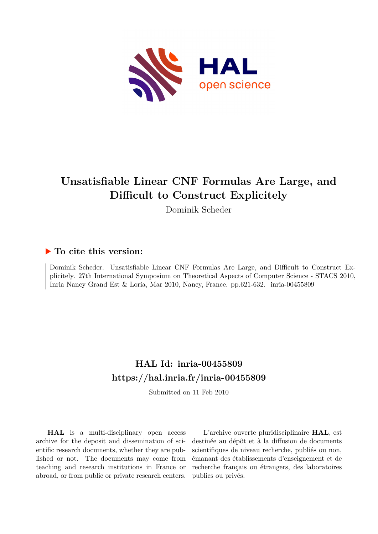

# **Unsatisfiable Linear CNF Formulas Are Large, and Difficult to Construct Explicitely**

Dominik Scheder

## **To cite this version:**

Dominik Scheder. Unsatisfiable Linear CNF Formulas Are Large, and Difficult to Construct Explicitely. 27th International Symposium on Theoretical Aspects of Computer Science - STACS 2010, Inria Nancy Grand Est & Loria, Mar 2010, Nancy, France. pp.621-632. inria-00455809

## **HAL Id: inria-00455809 <https://hal.inria.fr/inria-00455809>**

Submitted on 11 Feb 2010

**HAL** is a multi-disciplinary open access archive for the deposit and dissemination of scientific research documents, whether they are published or not. The documents may come from teaching and research institutions in France or abroad, or from public or private research centers.

L'archive ouverte pluridisciplinaire **HAL**, est destinée au dépôt et à la diffusion de documents scientifiques de niveau recherche, publiés ou non, émanant des établissements d'enseignement et de recherche français ou étrangers, des laboratoires publics ou privés.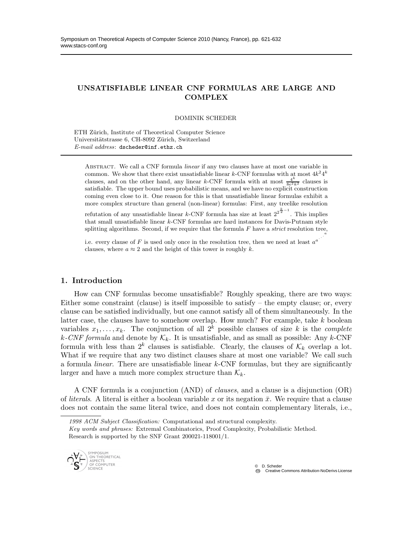### UNSATISFIABLE LINEAR CNF FORMULAS ARE LARGE AND **COMPLEX**

DOMINIK SCHEDER

ETH Zürich, Institute of Theoretical Computer Science Universitätstrasse 6, CH-8092 Zürich, Switzerland *E-mail address*: dscheder@inf.ethz.ch

Abstract. We call a CNF formula *linear* if any two clauses have at most one variable in common. We show that there exist unsatisfiable linear k-CNF formulas with at most  $4k^24^k$ clauses, and on the other hand, any linear k-CNF formula with at most  $\frac{4^k}{8e^2k^2}$  clauses is satisfiable. The upper bound uses probabilistic means, and we have no explicit construction coming even close to it. One reason for this is that unsatisfiable linear formulas exhibit a more complex structure than general (non-linear) formulas: First, any treelike resolution

refutation of any unsatisfiable linear k-CNF formula has size at least  $2^{2^{\frac{k}{2}-1}}$ . This implies that small unsatisfiable linear k-CNF formulas are hard instances for Davis-Putnam style splitting algorithms. Second, if we require that the formula  $F$  have a *strict* resolution tree,

i.e. every clause of F is used only once in the resolution tree, then we need at least  $a^a$ . clauses, where  $a \approx 2$  and the height of this tower is roughly k.

#### 1. Introduction

How can CNF formulas become unsatisfiable? Roughly speaking, there are two ways: Either some constraint (clause) is itself impossible to satisfy – the empty clause; or, every clause can be satisfied individually, but one cannot satisfy all of them simultaneously. In the latter case, the clauses have to somehow overlap. How much? For example, take  $k$  boolean variables  $x_1, \ldots, x_k$ . The conjunction of all  $2^k$  possible clauses of size k is the *complete*  $k$ -CNF formula and denote by  $\mathcal{K}_k$ . It is unsatisfiable, and as small as possible: Any k-CNF formula with less than  $2^k$  clauses is satisfiable. Clearly, the clauses of  $\mathcal{K}_k$  overlap a lot. What if we require that any two distinct clauses share at most one variable? We call such a formula *linear*. There are unsatisfiable linear k-CNF formulas, but they are significantly larger and have a much more complex structure than  $\mathcal{K}_k$ .

A CNF formula is a conjunction (AND) of *clauses*, and a clause is a disjunction (OR) of *literals*. A literal is either a boolean variable x or its negation  $\bar{x}$ . We require that a clause does not contain the same literal twice, and does not contain complementary literals, i.e.,

*Key words and phrases:* Extremal Combinatorics, Proof Complexity, Probabilistic Method. Research is supported by the SNF Grant 200021-118001/1.



. .

*<sup>1998</sup> ACM Subject Classification:* Computational and structural complexity.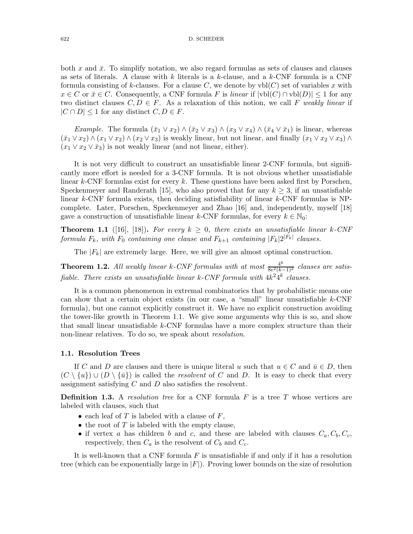both x and  $\bar{x}$ . To simplify notation, we also regard formulas as sets of clauses and clauses as sets of literals. A clause with  $k$  literals is a  $k$ -clause, and a  $k$ -CNF formula is a CNF formula consisting of k-clauses. For a clause C, we denote by  $vbl(C)$  set of variables x with  $x \in C$  or  $\bar{x} \in C$ . Consequently, a CNF formula F is *linear* if  $|vbl(C) \cap vbl(D)| ≤ 1$  for any two distinct clauses  $C, D \in F$ . As a relaxation of this notion, we call F *weakly linear* if  $|C \cap D| \leq 1$  for any distinct  $C, D \in F$ .

*Example.* The formula  $(\bar{x}_1 \vee \bar{x}_2) \wedge (\bar{x}_2 \vee \bar{x}_3) \wedge (\bar{x}_3 \vee \bar{x}_4) \wedge (\bar{x}_4 \vee \bar{x}_1)$  is linear, whereas  $(\bar{x}_1 \vee x_2) \wedge (x_1 \vee x_2) \wedge (x_2 \vee x_3)$  is weakly linear, but not linear, and finally  $(x_1 \vee x_2 \vee x_3) \wedge$  $(x_1 \vee x_2 \vee \overline{x}_3)$  is not weakly linear (and not linear, either).

It is not very difficult to construct an unsatisfiable linear 2-CNF formula, but significantly more effort is needed for a 3-CNF formula. It is not obvious whether unsatisfiable linear  $k$ -CNF formulas exist for every  $k$ . These questions have been asked first by Porschen, Speckenmeyer and Randerath [15], who also proved that for any  $k \geq 3$ , if an unsatisfiable linear k-CNF formula exists, then deciding satisfiability of linear k-CNF formulas is NPcomplete. Later, Porschen, Speckenmeyer and Zhao [16] and, independently, myself [18] gave a construction of unsatisfiable linear k-CNF formulas, for every  $k \in \mathbb{N}_0$ :

**Theorem 1.1** ([16], [18]). For every  $k \geq 0$ , there exists an unsatisfiable linear k-CNF *formula*  $F_k$ , with  $F_0$  *containing one clause and*  $F_{k+1}$  *containing*  $|F_k|2^{|F_k|}$  *clauses.* 

The  $|F_k|$  are extremely large. Here, we will give an almost optimal construction.

**Theorem 1.2.** All weakly linear k-CNF formulas with at most  $\frac{4^k}{8e^2(k+1)}$ 8e <sup>2</sup>(k−1)<sup>2</sup> *clauses are satis*fiable. There exists an unsatisfiable linear  $k$ -CNF formula with  $4k^24^k$  clauses.

It is a common phenomenon in extremal combinatorics that by probabilistic means one can show that a certain object exists (in our case, a "small" linear unsatisfiable k-CNF formula), but one cannot explicitly construct it. We have no explicit construction avoiding the tower-like growth in Theorem 1.1. We give some arguments why this is so, and show that small linear unsatisfiable  $k$ -CNF formulas have a more complex structure than their non-linear relatives. To do so, we speak about *resolution*.

#### 1.1. Resolution Trees

If C and D are clauses and there is unique literal u such that  $u \in C$  and  $\bar{u} \in D$ , then  $(C \setminus \{u\}) \cup (D \setminus \{\bar{u}\})$  is called the *resolvent* of C and D. It is easy to check that every assignment satisfying  $C$  and  $D$  also satisfies the resolvent.

Definition 1.3. A *resolution tree* for a CNF formula F is a tree T whose vertices are labeled with clauses, such that

- each leaf of  $T$  is labeled with a clause of  $F$ ,
- the root of  $T$  is labeled with the empty clause,
- if vertex a has children b and c, and these are labeled with clauses  $C_a, C_b, C_c$ , respectively, then  $C_a$  is the resolvent of  $C_b$  and  $C_c$ .

It is well-known that a CNF formula  $F$  is unsatisfiable if and only if it has a resolution tree (which can be exponentially large in  $|F|$ ). Proving lower bounds on the size of resolution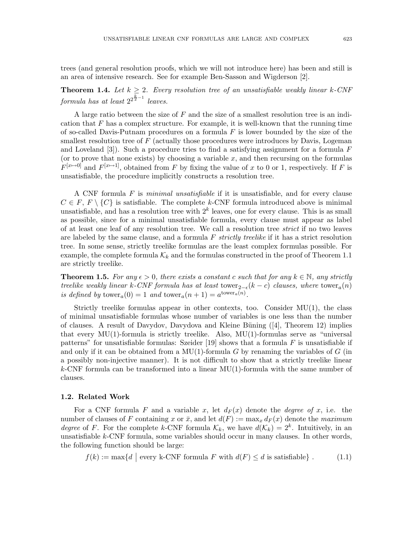trees (and general resolution proofs, which we will not introduce here) has been and still is an area of intensive research. See for example Ben-Sasson and Wigderson [2].

**Theorem 1.4.** Let  $k \geq 2$ . Every resolution tree of an unsatisfiable weakly linear k-CNF  $formula$  has at least  $2^{2^{\frac{k}{2}-1}}$  leaves.

A large ratio between the size of  $F$  and the size of a smallest resolution tree is an indication that  $F$  has a complex structure. For example, it is well-known that the running time of so-called Davis-Putnam procedures on a formula  $F$  is lower bounded by the size of the smallest resolution tree of  $F$  (actually those procedures were introduces by Davis, Logeman and Loveland  $[3]$ . Such a procedure tries to find a satisfying assignment for a formula F (or to prove that none exists) by choosing a variable  $x$ , and then recursing on the formulas  $F^{[x\mapsto 0]}$  and  $F^{[x\mapsto 1]}$ , obtained from F by fixing the value of x to 0 or 1, respectively. If F is unsatisfiable, the procedure implicitly constructs a resolution tree.

A CNF formula F is *minimal unsatisfiable* if it is unsatisfiable, and for every clause  $C \in F, F \setminus \{C\}$  is satisfiable. The complete k-CNF formula introduced above is minimal unsatisfiable, and has a resolution tree with  $2^k$  leaves, one for every clause. This is as small as possible, since for a minimal unsatisfiable formula, every clause must appear as label of at least one leaf of any resolution tree. We call a resolution tree *strict* if no two leaves are labeled by the same clause, and a formula F *strictly treelike* if it has a strict resolution tree. In some sense, strictly treelike formulas are the least complex formulas possible. For example, the complete formula  $\mathcal{K}_k$  and the formulas constructed in the proof of Theorem 1.1 are strictly treelike.

**Theorem 1.5.** For any  $\epsilon > 0$ , there exists a constant c such that for any  $k \in \mathbb{N}$ , any strictly *treelike weakly linear* k-CNF formula has at least tower<sub>2− $\epsilon$ </sub>(k – c) clauses, where tower<sub>a</sub>(n) *is defined by* towera(0) = 1 *and* towera(n + 1) = a towera(n) *.*

Strictly treelike formulas appear in other contexts, too. Consider MU(1), the class of minimal unsatisfiable formulas whose number of variables is one less than the number of clauses. A result of Davydov, Davydova and Kleine Büning  $(4)$ , Theorem 12) implies that every  $MU(1)$ -formula is strictly treelike. Also,  $MU(1)$ -formulas serve as "universal patterns" for unsatisfiable formulas: Szeider [19] shows that a formula  $F$  is unsatisfiable if and only if it can be obtained from a MU(1)-formula  $G$  by renaming the variables of  $G$  (in a possibly non-injective manner). It is not difficult to show that a strictly treelike linear  $k$ -CNF formula can be transformed into a linear  $MU(1)$ -formula with the same number of clauses.

#### 1.2. Related Work

For a CNF formula F and a variable x, let  $d_F(x)$  denote the *degree of* x, i.e. the number of clauses of F containing x or  $\bar{x}$ , and let  $d(F) := \max_x d_F(x)$  denote the *maximum degree* of F. For the complete k-CNF formula  $\mathcal{K}_k$ , we have  $d(\mathcal{K}_k) = 2^k$ . Intuitively, in an unsatisfiable k-CNF formula, some variables should occur in many clauses. In other words, the following function should be large:

$$
f(k) := \max\{d \mid \text{every k-CNF formula } F \text{ with } d(F) \le d \text{ is satisfiable}\}.
$$
 (1.1)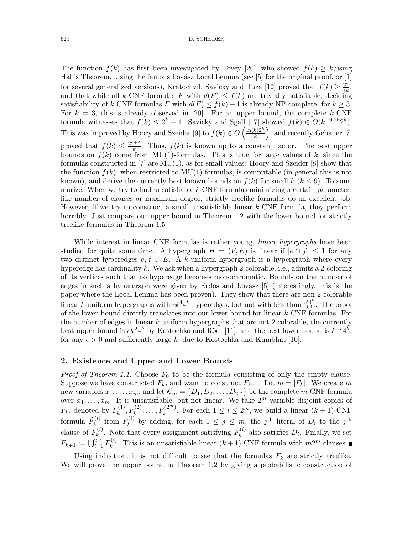The function  $f(k)$  has first been investigated by Tovey [20], who showed  $f(k) \geq k$ , using Hall's Theorem. Using the famous Lovász Local Lemma (see [5] for the original proof, or [1] for several generalized versions), Kratochvíl, Savický and Tuza [12] proved that  $f(k) \geq \frac{2^k}{e^k}$ , and that while all k-CNF formulas F with  $d(F) \leq f(k)$  are trivially satisfiable, deciding satisfiability of k-CNF formulas F with  $d(F) \leq f(k) + 1$  is already NP-complete, for  $k > 3$ . For  $k = 3$ , this is already observed in [20]. For an upper bound, the complete k-CNF formula witnesses that  $f(k) \leq 2^k - 1$ . Savický and Sgall [17] showed  $f(k) \in O(k^{-0.26}2^k)$ . This was improved by Hoory and Szeider [9] to  $f(k) \in O\left(\frac{\ln(k)2^k}{k}\right)$  $\left(\frac{k}{k}\right)^{2k}$ , and recently Gebauer [7] proved that  $f(k) \leq \frac{2^{k+2}}{k}$  $\frac{k+2}{k}$ . Thus,  $f(k)$  is known up to a constant factor. The best upper bounds on  $f(k)$  come from MU(1)-formulas. This is true for large values of k, since the formulas constructed in  $[7]$  are  $MU(1)$ , as for small values: Hoory and Szeider  $[8]$  show that the function  $f(k)$ , when restricted to MU(1)-formulas, is computable (in general this is not known), and derive the currently best-known bounds on  $f(k)$  for small  $k$  ( $k \leq 9$ ). To summarize: When we try to find unsatisfiable  $k$ -CNF formulas minimizing a certain parameter, like number of clauses or maximum degree, strictly treelike formulas do an excellent job. However, if we try to construct a small unsatisfiable linear  $k$ -CNF formula, they perform horribly. Just compare our upper bound in Theorem 1.2 with the lower bound for strictly treelike formulas in Theorem 1.5

While interest in linear CNF formulas is rather young, *linear hypergraphs* have been studied for quite some time. A hypergraph  $H = (V, E)$  is linear if  $|e \cap f| \leq 1$  for any two distinct hyperedges  $e, f \in E$ . A k-uniform hypergraph is a hypergraph where every hyperedge has cardinality k. We ask when a hypergraph 2-colorable, i.e., admits a 2-coloring of its vertices such that no hyperedge becomes monochromatic. Bounds on the number of edges in such a hypergraph were given by Erdős and Lovász [5] (interestingly, this is the paper where the Local Lemma has been proven). They show that there are non-2-colorable linear k-uniform hypergraphs with  $ck^44^k$  hyperedges, but not with less than  $\frac{c'4^k}{k^3}$ . The proof of the lower bound directly translates into our lower bound for linear  $k$ -CNF formulas. For the number of edges in linear k-uniform hypergraphs that are not 2-colorable, the currently best upper bound is  $ck^24^k$  by Kostochka and Rödl [11], and the best lower bound is  $k^{-\epsilon}4^k$ , for any  $\epsilon > 0$  and sufficiently large k, due to Kostochka and Kumbhat [10].

#### 2. Existence and Upper and Lower Bounds

*Proof of Theorem 1.1.* Choose  $F_0$  to be the formula consisting of only the empty clause. Suppose we have constructed  $F_k$ , and want to construct  $F_{k+1}$ . Let  $m = |F_k|$ . We create  $m$  new variables  $x_1, \ldots, x_m$ , and let  $\mathcal{K}_m = \{D_1, D_2, \ldots, D_{2^m}\}$  be the complete  $m$ -CNF formula new variables  $x_1, \ldots, x_m$ , and let  $\mathcal{K}_m = \{D_1, D_2, \ldots, D_{2^m}\}$  be the complete m-CNF formula over  $x_1, \ldots, x_m$ . It is unsatisfiable, but not linear. We take  $2^m$  variable disjoint copies of  $F_k$ , denoted by  $F_k^{(1)}$  $k^{(1)}, F_k^{(2)}, \ldots, F_k^{(2^{m})}$ . For each  $1 \leq i \leq 2^m$ , we build a linear  $(k + 1)$ -CNF formula  $\tilde{F}_k^{(i)}$  $F_k^{(i)}$  from  $F_k^{(i)}$  $\mathcal{L}_k^{(i)}$  by adding, for each  $1 \leq j \leq m$ , the j<sup>th</sup> literal of  $D_i$  to the j<sup>th</sup> clause of  $F_k^{(i)}$  $k^{(i)}$ . Note that every assignment satisfying  $\tilde{F}_k^{(i)}$  $\mathcal{L}_{k}^{(i)}$  also satisfies  $D_i$ . Finally, we set  $F_{k+1} := \bigcup_{i=1}^{2^m} \tilde{F}_k^{(i)}$  $k^{(i)}$ . This is an unsatisfiable linear  $(k+1)$ -CNF formula with  $m2^m$  clauses.

Using induction, it is not difficult to see that the formulas  $F_k$  are strictly treelike. We will prove the upper bound in Theorem 1.2 by giving a probabilistic construction of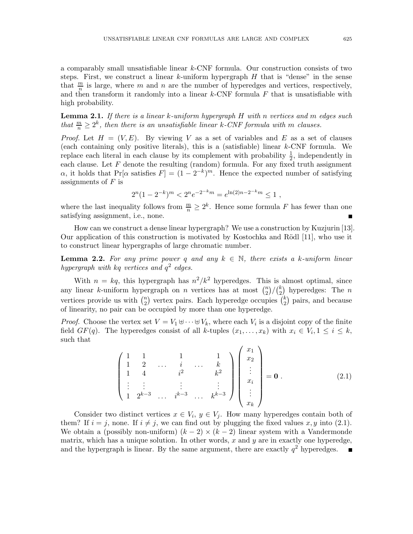a comparably small unsatisfiable linear k-CNF formula. Our construction consists of two steps. First, we construct a linear k-uniform hypergraph  $H$  that is "dense" in the sense that  $\frac{m}{n}$  is large, where m and n are the number of hyperedges and vertices, respectively, and then transform it randomly into a linear  $k$ -CNF formula  $F$  that is unsatisfiable with high probability.

Lemma 2.1. *If there is a linear* k*-uniform hypergraph* H *with* n *vertices and* m *edges such that*  $\frac{m}{n} \geq 2^k$ , *then there is an unsatisfiable linear k-CNF formula with* m *clauses*.

*Proof.* Let  $H = (V, E)$ . By viewing V as a set of variables and E as a set of clauses (each containing only positive literals), this is a (satisfiable) linear  $k$ -CNF formula. We replace each literal in each clause by its complement with probability  $\frac{1}{2}$ , independently in each clause. Let  $F$  denote the resulting (random) formula. For any fixed truth assignment  $\alpha$ , it holds that  $Pr[\alpha \text{ satisfies } F] = (1 - 2^{-k})^m$ . Hence the expected number of satisfying assignments of  $F$  is

$$
2^{n}(1-2^{-k})^{m} < 2^{n}e^{-2^{-k}m} = e^{\ln(2)n - 2^{-k}m} \le 1,
$$

where the last inequality follows from  $\frac{m}{n} \geq 2^k$ . Hence some formula F has fewer than one satisfying assignment, i.e., none.

How can we construct a dense linear hypergraph? We use a construction by Kuzjurin [13]. Our application of this construction is motivated by Kostochka and Rödl [11], who use it to construct linear hypergraphs of large chromatic number.

**Lemma 2.2.** For any prime power q and any  $k \in \mathbb{N}$ , there exists a k-uniform linear *hypergraph with* kq *vertices and* q 2 *edges.*

With  $n = kq$ , this hypergraph has  $n^2/k^2$  hyperedges. This is almost optimal, since any linear k-uniform hypergraph on n vertices has at most  $\binom{n}{2}$  $\binom{n}{2} / \binom{k}{2}$  $\binom{k}{2}$  hyperedges: The *n* vertices provide us with  $\binom{n}{2}$  $\binom{n}{2}$  vertex pairs. Each hyperedge occupies  $\binom{k}{2}$  $_{2}^{k}$ ) pairs, and because of linearity, no pair can be occupied by more than one hyperedge.

*Proof.* Choose the vertex set  $V = V_1 \oplus \cdots \oplus V_k$ , where each  $V_i$  is a disjoint copy of the finite field  $GF(q)$ . The hyperedges consist of all k-tuples  $(x_1, \ldots, x_k)$  with  $x_i \in V_i, 1 \le i \le k$ , such that

$$
\begin{pmatrix}\n1 & 1 & 1 & 1 & 1 \\
1 & 2 & \cdots & i & \cdots & k \\
1 & 4 & & i^2 & & k^2 \\
\vdots & \vdots & & \vdots & & \vdots \\
1 & 2^{k-3} & \cdots & i^{k-3} & \cdots & k^{k-3}\n\end{pmatrix}\n\begin{pmatrix}\nx_1 \\
x_2 \\
\vdots \\
x_i \\
\vdots \\
x_k\n\end{pmatrix} = \mathbf{0}.
$$
\n(2.1)

Consider two distinct vertices  $x \in V_i$ ,  $y \in V_j$ . How many hyperedges contain both of them? If  $i = j$ , none. If  $i \neq j$ , we can find out by plugging the fixed values x, y into (2.1). We obtain a (possibly non-uniform)  $(k-2) \times (k-2)$  linear system with a Vandermonde matrix, which has a unique solution. In other words,  $x$  and  $y$  are in exactly one hyperedge, and the hypergraph is linear. By the same argument, there are exactly  $q^2$  hyperedges.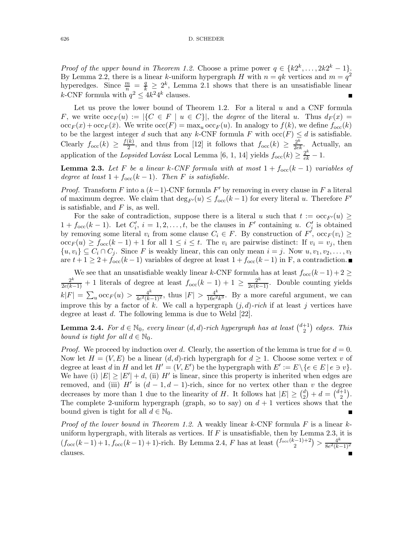*Proof of the upper bound in Theorem 1.2.* Choose a prime power  $q \in \{k2^k, \ldots, 2k2^k - 1\}$ . By Lemma 2.2, there is a linear k-uniform hypergraph H with  $n = qk$  vertices and  $m = q^2$ hyperedges. Since  $\frac{m}{n} = \frac{q}{k} \geq 2^k$ , Lemma 2.1 shows that there is an unsatisfiable linear k-CNF formula with  $q^2 \leq 4k^2 4^k$  clauses.

Let us prove the lower bound of Theorem 1.2. For a literal  $u$  and a CNF formula F, we write  $\mathrm{occ}_F(u) := |\{C \in F \mid u \in C\}|$ , the *degree* of the literal u. Thus  $d_F(x) =$  $\mathrm{occ}_F(x) + \mathrm{occ}_F(\bar{x})$ . We write  $\mathrm{occ}(F) = \max_u \mathrm{occ}_F(u)$ . In analogy to  $f(k)$ , we define  $f_{\mathrm{occ}}(k)$ to be the largest integer d such that any k-CNF formula F with  $\operatorname{occ}(F) \leq d$  is satisfiable. Clearly  $f_{\text{occ}}(k) \geq \frac{f(k)}{2}$  $\frac{(\bar{k})}{2}$ , and thus from [12] it follows that  $f_{\text{occ}}(k) \geq \frac{2^k}{2\epsilon k}$ . Actually, an application of the *Lopsided* Lovász Local Lemma [6, 1, 14] yields  $f_{\text{occ}}(k) \geq \frac{2^k}{ek} - 1$ .

**Lemma 2.3.** Let F be a linear k-CNF formula with at most  $1 + f_{\text{occ}}(k-1)$  variables of *degree at least*  $1 + f_{\text{occ}}(k-1)$ *. Then* F *is satisfiable.* 

*Proof.* Transform F into a  $(k-1)$ -CNF formula F' by removing in every clause in F a literal of maximum degree. We claim that  $\deg_{F'}(u) \le f_{\text{occ}}(k-1)$  for every literal u. Therefore  $F'$ is satisfiable, and  $F$  is, as well.

For the sake of contradiction, suppose there is a literal u such that  $t := \text{occ}_{F'}(u)$  $1 + f_{\text{occ}}(k-1)$ . Let  $C'_i$ ,  $i = 1, 2, \ldots, t$ , be the clauses in F' containing u.  $C'_i$  is obtained by removing some literal  $v_i$  from some clause  $C_i \in F$ . By construction of  $F'$ ,  $\mathrm{occ}_F(v_i) \ge$  $\mathrm{occ}_F(u) \ge f_{\mathrm{occ}}(k-1) + 1$  for all  $1 \le i \le t$ . The  $v_i$  are pairwise distinct: If  $v_i = v_j$ , then  $\{u, v_i\} \subseteq C_i \cap C_j$ . Since F is weakly linear, this can only mean  $i = j$ . Now  $u, v_1, v_2, \ldots, v_t$ are  $t + 1 \geq 2 + f_{\text{occ}}(k-1)$  variables of degree at least  $1 + f_{\text{occ}}(k-1)$  in F, a contradiction.

We see that an unsatisfiable weakly linear k-CNF formula has at least  $f_{\text{occ}}(k-1) + 2 \ge \frac{2^k}{2e(k-1)} + 1$  literals of degree at least  $f_{\text{occ}}(k-1) + 1 \ge \frac{2^k}{2e(k-1)}$ . Double counting yields  $|k|F| = \sum_{u} \mathrm{occ}_F(u) > \frac{4^k}{4e^2(k+1)}$  $\frac{4^k}{4e^2(k-1)^2}$ , thus  $|F| > \frac{4^k}{16e^2}$  $\frac{4^{n}}{16e^{2}k^{3}}$ . By a more careful argument, we can improve this by a factor of k. We call a hypergraph  $(j, d)$ -rich if at least j vertices have degree at least d. The following lemma is due to Welzl [22].

**Lemma 2.4.** *For*  $d \in \mathbb{N}_0$ , *every linear*  $(d, d)$ *-rich hypergraph has at least*  $\binom{d+1}{2}$  $\binom{+1}{2}$  edges. This *bound is tight for all*  $d \in \mathbb{N}_0$ *.* 

*Proof.* We proceed by induction over d. Clearly, the assertion of the lemma is true for  $d = 0$ . Now let  $H = (V, E)$  be a linear  $(d, d)$ -rich hypergraph for  $d \geq 1$ . Choose some vertex v of degree at least d in H and let  $H' = (V, E')$  be the hypergraph with  $E' := E \setminus \{e \in E \mid e \ni v\}.$ We have (i)  $|E| \geq |E'| + d$ , (ii) H' is linear, since this property is inherited when edges are removed, and (iii)  $H'$  is  $(d-1, d-1)$ -rich, since for no vertex other than v the degree decreases by more than 1 due to the linearity of H. It follows hat  $|E| \geq {d \choose 2}$  $\binom{d}{2} + d = \binom{d+1}{2}$  $_{2}^{+1}$ ). The complete 2-uniform hypergraph (graph, so to say) on  $d+1$  vertices shows that the bound given is tight for all  $d \in \mathbb{N}_0$ .

*Proof of the lower bound in Theorem 1.2.* A weakly linear k-CNF formula F is a linear kuniform hypergraph, with literals as vertices. If  $F$  is unsatisfiable, then by Lemma 2.3, it is  $(f_{\text{occ}}(k-1)+1, f_{\text{occ}}(k-1)+1)$ -rich. By Lemma 2.4, F has at least  $\binom{f_{\text{occ}}(k-1)+2}{2}$  $\frac{(k-1)+2}{2}$  >  $\frac{4^k}{8e^2(k-1)}$  $8e^2(k-1)^2$ clauses.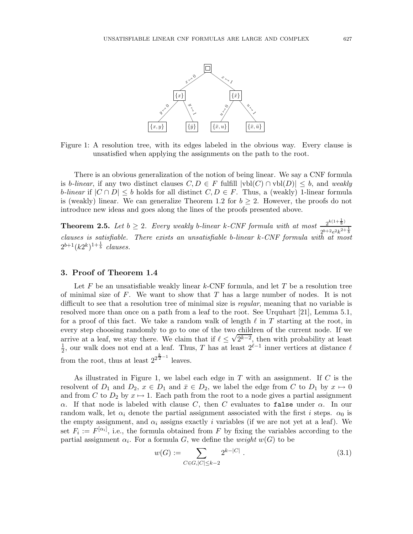

Figure 1: A resolution tree, with its edges labeled in the obvious way. Every clause is unsatisfied when applying the assignments on the path to the root.

There is an obvious generalization of the notion of being linear. We say a CNF formula is b-linear, if any two distinct clauses  $C, D \in F$  fulfill  $|\text{vbl}(C) \cap \text{vbl}(D)| \leq b$ , and *weakly b-linear* if  $|C \cap D| \leq b$  holds for all distinct  $C, D \in F$ . Thus, a (weakly) 1-linear formula is (weakly) linear. We can generalize Theorem 1.2 for  $b \geq 2$ . However, the proofs do not introduce new ideas and goes along the lines of the proofs presented above.

**Theorem 2.5.** Let  $b \geq 2$ . Every weakly b-linear k-CNF formula with at most  $\frac{2^{k(1+\frac{1}{b})}}{2^{b+2a^2k^2}}$  $2^{b+2}e^{2k^{2+\frac{1}{b}}}$ *clauses is satisfiable. There exists an unsatisfiable* b*-linear* k*-CNF formula with at most*  $2^{b+1}(k2^k)^{1+\frac{1}{b}}$  *clauses.* 

#### 3. Proof of Theorem 1.4

Let  $F$  be an unsatisfiable weakly linear  $k$ -CNF formula, and let  $T$  be a resolution tree of minimal size of F. We want to show that T has a large number of nodes. It is not difficult to see that a resolution tree of minimal size is *regular*, meaning that no variable is resolved more than once on a path from a leaf to the root. See Urquhart [21], Lemma 5.1, for a proof of this fact. We take a random walk of length  $\ell$  in T starting at the root, in every step choosing randomly to go to one of the two children of the current node. If we arrive at a leaf, we stay there. We claim that if  $\ell \leq \sqrt{2^{k-2}}$ , then with probability at least  $\frac{1}{k}$  our walk does not end at a leaf. Thus T has at least  $2^{\ell-1}$  inner vertices at distance  $\ell$  $\frac{1}{2}$ , our walk does not end at a leaf. Thus, T has at least  $2^{\ell-1}$  inner vertices at distance  $\ell$ from the root, thus at least  $2^{2^{\frac{k}{2}-1}}$  leaves.

As illustrated in Figure 1, we label each edge in  $T$  with an assignment. If  $C$  is the resolvent of  $D_1$  and  $D_2$ ,  $x \in D_1$  and  $\bar{x} \in D_2$ , we label the edge from C to  $D_1$  by  $x \mapsto 0$ and from C to  $D_2$  by  $x \mapsto 1$ . Each path from the root to a node gives a partial assignment α. If that node is labeled with clause C, then C evaluates to false under  $α$ . In our random walk, let  $\alpha_i$  denote the partial assignment associated with the first i steps.  $\alpha_0$  is the empty assignment, and  $\alpha_i$  assigns exactly i variables (if we are not yet at a leaf). We set  $F_i := F^{[\alpha_i]}$ , i.e., the formula obtained from F by fixing the variables according to the partial assignment  $\alpha_i$ . For a formula G, we define the *weight*  $w(G)$  to be

$$
w(G) := \sum_{C \in G, |C| \le k-2} 2^{k-|C|} . \tag{3.1}
$$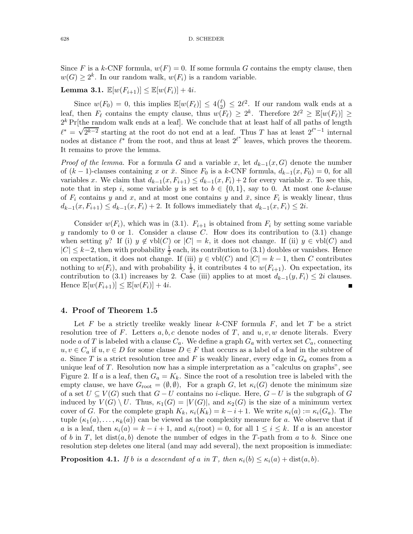Since F is a k-CNF formula,  $w(F) = 0$ . If some formula G contains the empty clause, then  $w(G) \geq 2^k$ . In our random walk,  $w(F_i)$  is a random variable.

### **Lemma 3.1.**  $\mathbb{E}[w(F_{i+1})] \leq \mathbb{E}[w(F_i)] + 4i$ .

Since  $w(F_0) = 0$ , this implies  $\mathbb{E}[w(F_\ell)] \leq 4\binom{\ell}{2}$  $\binom{\ell}{2} \leq 2\ell^2$ . If our random walk ends at a leaf, then  $F_{\ell}$  contains the empty clause, thus  $w(F_{\ell}) \geq 2^{k}$ . Therefore  $2\ell^{2} \geq \mathbb{E}[w(F_{\ell})] \geq$  $2<sup>k</sup>$  Pr[the random walk ends at a leaf]. We conclude that at least half of all paths of length  $\ell^* = \sqrt{2^{k-2}}$  starting at the root do not end at a leaf. Thus T has at least  $2^{\ell^* - 1}$  internal nodes at distance  $\ell^*$  from the root, and thus at least  $2^{\ell^*}$  leaves, which proves the theorem. It remains to prove the lemma.

*Proof of the lemma.* For a formula G and a variable x, let  $d_{k-1}(x, G)$  denote the number of  $(k-1)$ -clauses containing x or  $\bar{x}$ . Since  $F_0$  is a k-CNF formula,  $d_{k-1}(x, F_0) = 0$ , for all variables x. We claim that  $d_{k-1}(x, F_{i+1}) \leq d_{k-1}(x, F_i) + 2$  for every variable x. To see this, note that in step i, some variable y is set to  $b \in \{0,1\}$ , say to 0. At most one k-clause of  $F_i$  contains y and x, and at most one contains y and  $\bar{x}$ , since  $F_i$  is weakly linear, thus  $d_{k-1}(x, F_{i+1}) \leq d_{k-1}(x, F_i) + 2$ . It follows immediately that  $d_{k-1}(x, F_i) \leq 2i$ .

Consider  $w(F_i)$ , which was in (3.1).  $F_{i+1}$  is obtained from  $F_i$  by setting some variable y randomly to 0 or 1. Consider a clause C. How does its contribution to  $(3.1)$  change when setting y? If (i)  $y \notin \text{vbl}(C)$  or  $|C| = k$ , it does not change. If (ii)  $y \in \text{vbl}(C)$  and  $|C| \leq k-2$ , then with probability  $\frac{1}{2}$  each, its contribution to (3.1) doubles or vanishes. Hence on expectation, it does not change. If (iii)  $y \in \text{vbl}(C)$  and  $|C| = k - 1$ , then C contributes nothing to  $w(F_i)$ , and with probability  $\frac{1}{2}$ , it contributes 4 to  $w(F_{i+1})$ . On expectation, its contribution to (3.1) increases by 2. Case (iii) applies to at most  $d_{k-1}(y, F_i) \leq 2i$  clauses. Hence  $\mathbb{E}[w(F_{i+1})] \leq \mathbb{E}[w(F_i)] + 4i$ .

#### 4. Proof of Theorem 1.5

Let F be a strictly treelike weakly linear  $k$ -CNF formula F, and let T be a strict resolution tree of F. Letters  $a, b, c$  denote nodes of T, and  $u, v, w$  denote literals. Every node a of T is labeled with a clause  $C_a$ . We define a graph  $G_a$  with vertex set  $C_a$ , connecting  $u, v \in C_a$  if  $u, v \in D$  for some clause  $D \in F$  that occurs as a label of a leaf in the subtree of a. Since T is a strict resolution tree and F is weakly linear, every edge in  $G_a$  comes from a unique leaf of T. Resolution now has a simple interpretation as a "calculus on graphs", see Figure 2. If a is a leaf, then  $G_a = K_k$ . Since the root of a resolution tree is labeled with the empty clause, we have  $G_{\text{root}} = (\emptyset, \emptyset)$ , For a graph G, let  $\kappa_i(G)$  denote the minimum size of a set  $U \subseteq V(G)$  such that  $G-U$  contains no *i*-clique. Here,  $G-U$  is the subgraph of G induced by  $V(G) \setminus U$ . Thus,  $\kappa_1(G) = |V(G)|$ , and  $\kappa_2(G)$  is the size of a minimum vertex cover of G. For the complete graph  $K_k$ ,  $\kappa_i(K_k) = k - i + 1$ . We write  $\kappa_i(a) := \kappa_i(G_a)$ . The tuple  $(\kappa_1(a), \ldots, \kappa_k(a))$  can be viewed as the complexity measure for a. We observe that if a is a leaf, then  $\kappa_i(a) = k - i + 1$ , and  $\kappa_i(\text{root}) = 0$ , for all  $1 \leq i \leq k$ . If a is an ancestor of b in T, let dist $(a, b)$  denote the number of edges in the T-path from a to b. Since one resolution step deletes one literal (and may add several), the next proposition is immediate:

**Proposition 4.1.** *If b is a descendant of a in T*, then  $\kappa_i(b) \leq \kappa_i(a) + \text{dist}(a, b)$ .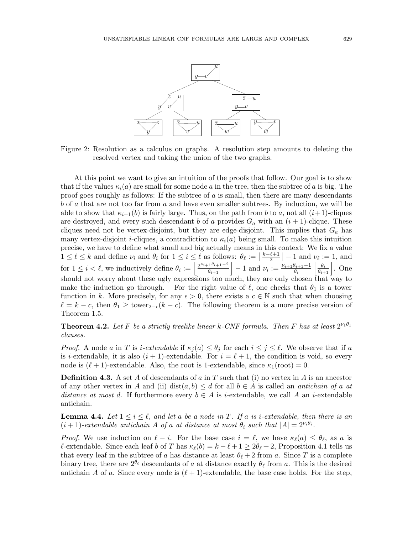

Figure 2: Resolution as a calculus on graphs. A resolution step amounts to deleting the resolved vertex and taking the union of the two graphs.

At this point we want to give an intuition of the proofs that follow. Our goal is to show that if the values  $\kappa_i(a)$  are small for some node a in the tree, then the subtree of a is big. The proof goes roughly as follows: If the subtree of  $a$  is small, then there are many descendants b of a that are not too far from a and have even smaller subtrees. By induction, we will be able to show that  $\kappa_{i+1}(b)$  is fairly large. Thus, on the path from b to a, not all  $(i+1)$ -cliques are destroyed, and every such descendant b of a provides  $G_a$  with an  $(i + 1)$ -clique. These cliques need not be vertex-disjoint, but they are edge-disjoint. This implies that  $G_a$  has many vertex-disjoint *i*-cliques, a contradiction to  $\kappa_i(a)$  being small. To make this intuition precise, we have to define what small and big actually means in this context: We fix a value  $1 \leq \ell \leq k$  and define  $\nu_i$  and  $\theta_i$  for  $1 \leq i \leq \ell$  as follows:  $\theta_{\ell} := \lfloor \frac{k-\ell+1}{2} \rfloor$  $\lfloor \frac{\ell+1}{2} \rfloor - 1$  and  $\nu_{\ell} := 1$ , and for  $1 \leq i < l$ , we inductively define  $\theta_i := \left| \frac{2^{\nu_{i+1}\theta_{i+1}-2}}{\theta_{i+1}} \right| - 1$  and  $\nu_i := \frac{\nu_{i+1}\theta_{i+1}-1}{\theta_i}$  $\frac{\theta_{i+1}-1}{\theta_i}$   $\frac{\theta_i}{\theta_{i+1}}$ . One should not worry about these ugly expressions too much, they are only chosen that way to make the induction go through. For the right value of  $\ell$ , one checks that  $\theta_1$  is a tower function in k. More precisely, for any  $\epsilon > 0$ , there exists a  $c \in \mathbb{N}$  such that when choosing  $\ell = k - c$ , then  $\theta_1 \geq \text{lower}_{2-\epsilon}(k-c)$ . The following theorem is a more precise version of Theorem 1.5.

**Theorem 4.2.** Let F be a strictly treelike linear k-CNF formula. Then F has at least  $2^{\nu_1\theta_1}$ *clauses.*

*Proof.* A node a in T is *i-extendable* if  $\kappa_i(a) \leq \theta_i$  for each  $i \leq j \leq \ell$ . We observe that if a is *i*-extendable, it is also  $(i + 1)$ -extendable. For  $i = \ell + 1$ , the condition is void, so every node is  $(\ell + 1)$ -extendable. Also, the root is 1-extendable, since  $\kappa_1(\text{root}) = 0$ .

**Definition 4.3.** A set A of descendants of a in T such that (i) no vertex in A is an ancestor of any other vertex in A and (ii) dist $(a, b) \leq d$  for all  $b \in A$  is called an *antichain of* a at *distance at most d.* If furthermore every  $b \in A$  is *i*-extendable, we call A an *i*-extendable antichain.

**Lemma 4.4.** Let  $1 \leq i \leq \ell$ , and let a be a node in T. If a is *i*-extendable, then there is an  $(i + 1)$ -extendable antichain A of a at distance at most  $\theta_i$  such that  $|A| = 2^{\nu_i \theta_i}$ .

*Proof.* We use induction on  $\ell - i$ . For the base case  $i = \ell$ , we have  $\kappa_{\ell}(a) \leq \theta_{\ell}$ , as a is l-extendable. Since each leaf b of T has  $\kappa_{\ell}(b) = k - \ell + 1 \geq 2\theta_{\ell} + 2$ , Proposition 4.1 tells us that every leaf in the subtree of a has distance at least  $\theta_{\ell} + 2$  from a. Since T is a complete binary tree, there are  $2^{\theta_{\ell}}$  descendants of a at distance exactly  $\theta_{\ell}$  from a. This is the desired antichain A of a. Since every node is  $(\ell+1)$ -extendable, the base case holds. For the step,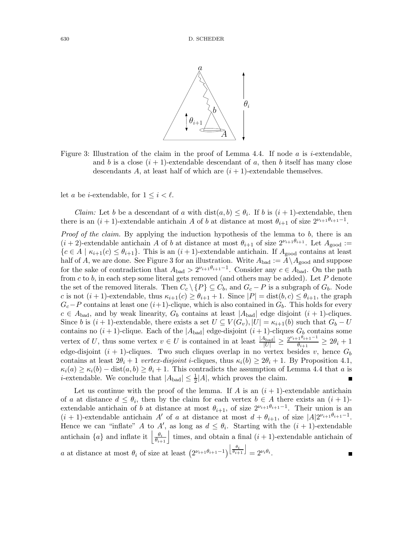

Figure 3: Illustration of the claim in the proof of Lemma 4.4. If node a is *i*-extendable, and b is a close  $(i + 1)$ -extendable descendant of a, then b itself has many close descendants A, at least half of which are  $(i + 1)$ -extendable themselves.

let a be *i*-extendable, for  $1 \leq i \leq \ell$ .

*Claim:* Let b be a descendant of a with  $dist(a, b) \leq \theta_i$ . If b is  $(i + 1)$ -extendable, then there is an  $(i + 1)$ -extendable antichain A of b at distance at most  $\theta_{i+1}$  of size  $2^{\nu_{i+1}\theta_{i+1}-1}$ .

*Proof of the claim.* By applying the induction hypothesis of the lemma to b, there is an  $(i+2)$ -extendable antichain A of b at distance at most  $\theta_{i+1}$  of size  $2^{\nu_{i+1}\theta_{i+1}}$ . Let  $A_{\text{good}} :=$  ${c \in A \mid \kappa_{i+1}(c) \leq \theta_{i+1}}$ . This is an  $(i+1)$ -extendable antichain. If  $A_{\text{good}}$  contains at least half of A, we are done. See Figure 3 for an illustration. Write  $A_{bad} := A \setminus A_{good}$  and suppose for the sake of contradiction that  $A_{bad} > 2^{\nu_{i+1}\theta_{i+1}-1}$ . Consider any  $c \in A_{bad}$ . On the path from c to b, in each step some literal gets removed (and others may be added). Let  $P$  denote the set of the removed literals. Then  $C_c \setminus \{P\} \subseteq C_b$ , and  $G_c - P$  is a subgraph of  $G_b$ . Node c is not  $(i + 1)$ -extendable, thus  $\kappa_{i+1}(c) \geq \theta_{i+1} + 1$ . Since  $|P| = \text{dist}(b, c) \leq \theta_{i+1}$ , the graph  $G_c-P$  contains at least one  $(i+1)$ -clique, which is also contained in  $G_b$ . This holds for every  $c \in A_{bad}$ , and by weak linearity,  $G_b$  contains at least  $|A_{bad}|$  edge disjoint  $(i + 1)$ -cliques. Since b is  $(i + 1)$ -extendable, there exists a set  $U \subseteq V(G_v), |U| = \kappa_{i+1}(b)$  such that  $G_b - U$ contains no  $(i + 1)$ -clique. Each of the  $|A_{bad}|$  edge-disjoint  $(i + 1)$ -cliques  $G_b$  contains some vertex of U, thus some vertex  $v \in U$  is contained in at least  $\frac{|A_{bad}|}{|U|} \ge \frac{2^{\nu_{i+1}\theta_{i+1}-1}}{\theta_{i+1}}$  $\frac{\theta_{i+1}}{\theta_{i+1}} \geq 2\theta_i + 1$ edge-disjoint  $(i + 1)$ -cliques. Two such cliques overlap in no vertex besides v, hence  $G_b$ contains at least  $2\theta_i + 1$  *vertex-disjoint i*-cliques, thus  $\kappa_i(b) \geq 2\theta_i + 1$ . By Proposition 4.1,  $\kappa_i(a) \geq \kappa_i(b) - \text{dist}(a, b) \geq \theta_i + 1$ . This contradicts the assumption of Lemma 4.4 that a is *i*-extendable. We conclude that  $|A_{bad}| \leq \frac{1}{2}|A|$ , which proves the claim.

Let us continue with the proof of the lemma. If A is an  $(i + 1)$ -extendable antichain of a at distance  $d \leq \theta_i$ , then by the claim for each vertex  $b \in A$  there exists an  $(i + 1)$ extendable antichain of b at distance at most  $\theta_{i+1}$ , of size  $2^{\nu_{i+1}\theta_{i+1}-1}$ . Their union is an  $(i + 1)$ -extendable antichain A' of a at distance at most  $d + \theta_{i+1}$ , of size  $|A|2^{\nu_{i+1}\theta_{i+1}-1}$ . Hence we can "inflate" A to A', as long as  $d \leq \theta_i$ . Starting with the  $(i + 1)$ -extendable antichain  $\{a\}$  and inflate it  $\left|\frac{\theta_i}{\theta_{i+1}}\right|$  times, and obtain a final  $(i+1)$ -extendable antichain of a at distance at most  $\theta_i$  of size at least  $(2^{\nu_{i+1}\theta_{i+1}-1})^{\left\lfloor \frac{\theta_i}{\theta_{i+1}} \right\rfloor} = 2^{\nu_i\theta_i}$ .  $\blacksquare$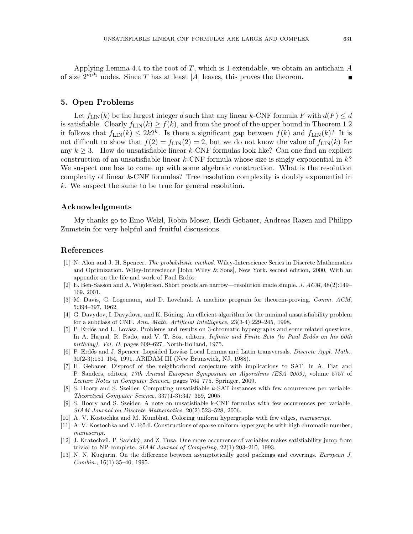Applying Lemma 4.4 to the root of  $T$ , which is 1-extendable, we obtain an antichain  $A$ of size  $2^{\nu_1\theta_1}$  nodes. Since T has at least |A| leaves, this proves the theorem.

#### 5. Open Problems

Let  $f_{\text{LIN}}(k)$  be the largest integer d such that any linear k-CNF formula F with  $d(F) \leq d$ is satisfiable. Clearly  $f_{\text{LIN}}(k) \ge f(k)$ , and from the proof of the upper bound in Theorem 1.2 it follows that  $f_{\text{LIN}}(k) \leq 2k2^k$ . Is there a significant gap between  $f(k)$  and  $f_{\text{LIN}}(k)$ ? It is not difficult to show that  $f(2) = f_{\text{LIN}}(2) = 2$ , but we do not know the value of  $f_{\text{LIN}}(k)$  for any  $k \geq 3$ . How do unsatisfiable linear k-CNF formulas look like? Can one find an explicit construction of an unsatisfiable linear  $k$ -CNF formula whose size is singly exponential in  $k$ ? We suspect one has to come up with some algebraic construction. What is the resolution complexity of linear k-CNF formulas? Tree resolution complexity is doubly exponential in k. We suspect the same to be true for general resolution.

#### Acknowledgments

My thanks go to Emo Welzl, Robin Moser, Heidi Gebauer, Andreas Razen and Philipp Zumstein for very helpful and fruitful discussions.

#### References

- [1] N. Alon and J. H. Spencer. *The probabilistic method*. Wiley-Interscience Series in Discrete Mathematics and Optimization. Wiley-Interscience [John Wiley & Sons], New York, second edition, 2000. With an appendix on the life and work of Paul Erdős.
- [2] E. Ben-Sasson and A. Wigderson. Short proofs are narrow—resolution made simple. *J. ACM*, 48(2):149– 169, 2001.
- [3] M. Davis, G. Logemann, and D. Loveland. A machine program for theorem-proving. *Comm. ACM*, 5:394–397, 1962.
- [4] G. Davydov, I. Davydova, and K. Büning. An efficient algorithm for the minimal unsatisfiability problem for a subclass of CNF. *Ann. Math. Artificial Intelligence*, 23(3-4):229–245, 1998.
- [5] P. Erdős and L. Lovász. Problems and results on 3-chromatic hypergraphs and some related questions. In A. Hajnal, R. Rado, and V. T. Sós, editors, *Infinite and Finite Sets (to Paul Erdős on his 60th birthday), Vol. II*, pages 609–627. North-Holland, 1975.
- [6] P. Erdős and J. Spencer. Lopsided Lovász Local Lemma and Latin transversals. *Discrete Appl. Math.*, 30(2-3):151–154, 1991. ARIDAM III (New Brunswick, NJ, 1988).
- [7] H. Gebauer. Disproof of the neighborhood conjecture with implications to SAT. In A. Fiat and P. Sanders, editors, *17th Annual European Symposium on Algorithms (ESA 2009)*, volume 5757 of *Lecture Notes in Computer Science*, pages 764–775. Springer, 2009.
- [8] S. Hoory and S. Szeider. Computing unsatisfiable k-SAT instances with few occurrences per variable. *Theoretical Computer Science*, 337(1-3):347–359, 2005.
- [9] S. Hoory and S. Szeider. A note on unsatisfiable k-CNF formulas with few occurrences per variable. *SIAM Journal on Discrete Mathematics*, 20(2):523–528, 2006.
- [10] A. V. Kostochka and M. Kumbhat. Coloring uniform hypergraphs with few edges, *manuscript*.
- [11] A. V. Kostochka and V. Rödl. Constructions of sparse uniform hypergraphs with high chromatic number, *manuscript*.
- [12] J. Kratochvíl, P. Savický, and Z. Tuza. One more occurrence of variables makes satisfiability jump from trivial to NP-complete. *SIAM Journal of Computing*, 22(1):203–210, 1993.
- [13] N. N. Kuzjurin. On the difference between asymptotically good packings and coverings. *European J. Combin.*, 16(1):35–40, 1995.